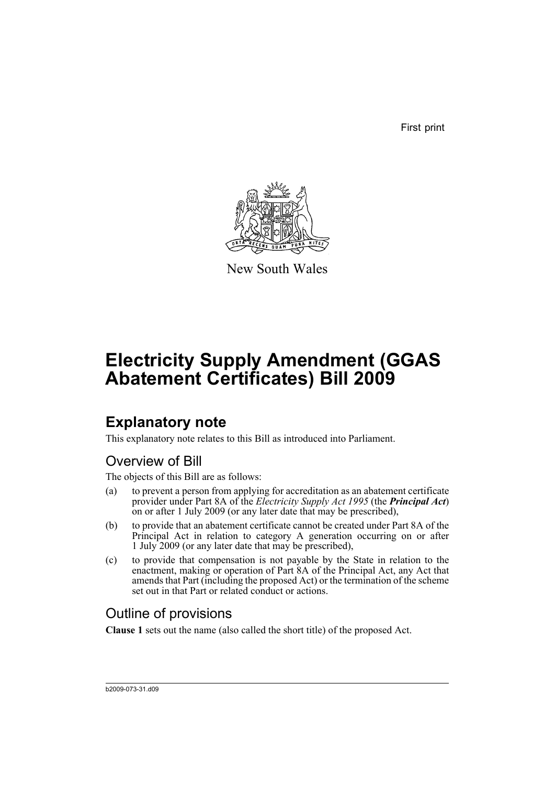First print



New South Wales

# **Electricity Supply Amendment (GGAS Abatement Certificates) Bill 2009**

## **Explanatory note**

This explanatory note relates to this Bill as introduced into Parliament.

### Overview of Bill

The objects of this Bill are as follows:

- (a) to prevent a person from applying for accreditation as an abatement certificate provider under Part 8A of the *Electricity Supply Act 1995* (the *Principal Act*) on or after 1 July 2009 (or any later date that may be prescribed),
- (b) to provide that an abatement certificate cannot be created under Part 8A of the Principal Act in relation to category A generation occurring on or after 1 July 2009 (or any later date that may be prescribed),
- (c) to provide that compensation is not payable by the State in relation to the enactment, making or operation of Part 8A of the Principal Act, any Act that amends that Part (including the proposed Act) or the termination of the scheme set out in that Part or related conduct or actions.

### Outline of provisions

**Clause 1** sets out the name (also called the short title) of the proposed Act.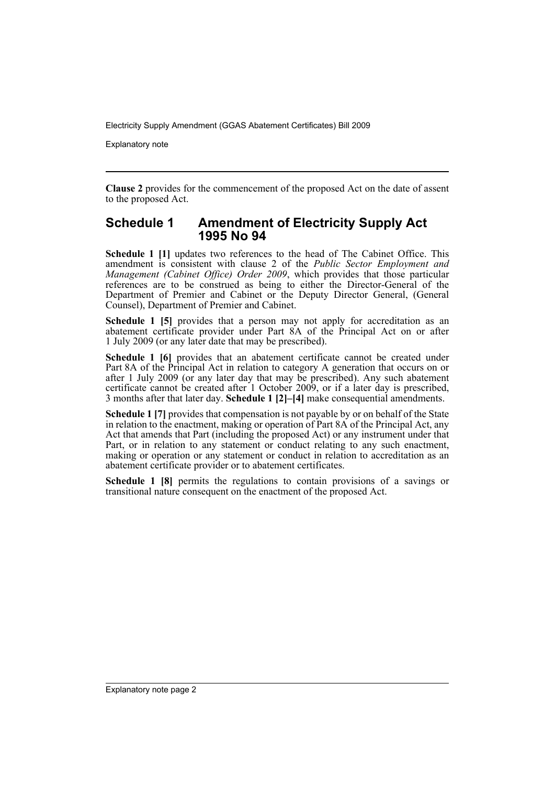Explanatory note

**Clause 2** provides for the commencement of the proposed Act on the date of assent to the proposed Act.

#### **Schedule 1 Amendment of Electricity Supply Act 1995 No 94**

**Schedule 1 [1]** updates two references to the head of The Cabinet Office. This amendment is consistent with clause 2 of the *Public Sector Employment and Management (Cabinet Office) Order 2009*, which provides that those particular references are to be construed as being to either the Director-General of the Department of Premier and Cabinet or the Deputy Director General, (General Counsel), Department of Premier and Cabinet.

**Schedule 1 [5]** provides that a person may not apply for accreditation as an abatement certificate provider under Part 8A of the Principal Act on or after 1 July 2009 (or any later date that may be prescribed).

**Schedule 1 [6]** provides that an abatement certificate cannot be created under Part 8A of the Principal Act in relation to category A generation that occurs on or after 1 July 2009 (or any later day that may be prescribed). Any such abatement certificate cannot be created after 1 October 2009, or if a later day is prescribed, 3 months after that later day. **Schedule 1 [2]–[4]** make consequential amendments.

**Schedule 1 [7]** provides that compensation is not payable by or on behalf of the State in relation to the enactment, making or operation of Part 8A of the Principal Act, any Act that amends that Part (including the proposed Act) or any instrument under that Part, or in relation to any statement or conduct relating to any such enactment, making or operation or any statement or conduct in relation to accreditation as an abatement certificate provider or to abatement certificates.

**Schedule 1 [8]** permits the regulations to contain provisions of a savings or transitional nature consequent on the enactment of the proposed Act.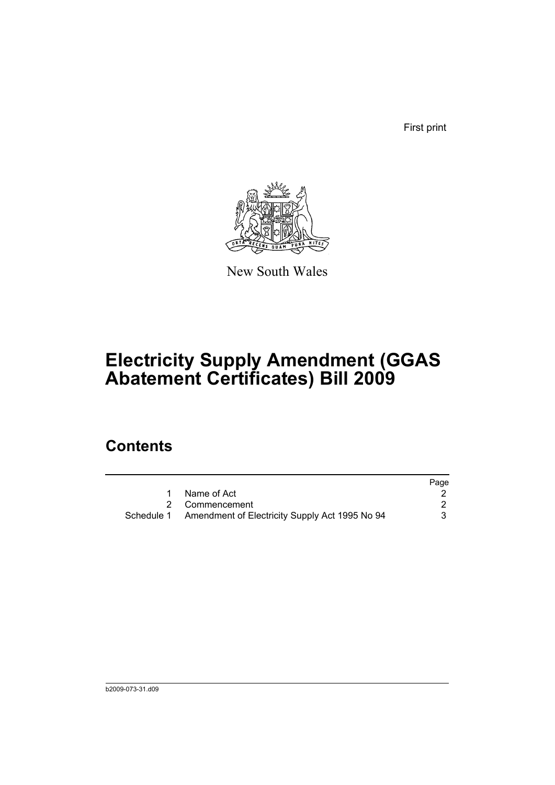First print



New South Wales

## **Electricity Supply Amendment (GGAS Abatement Certificates) Bill 2009**

### **Contents**

|                                                           | Page |
|-----------------------------------------------------------|------|
| Name of Act                                               |      |
| 2 Commencement                                            |      |
| Schedule 1 Amendment of Electricity Supply Act 1995 No 94 | 3    |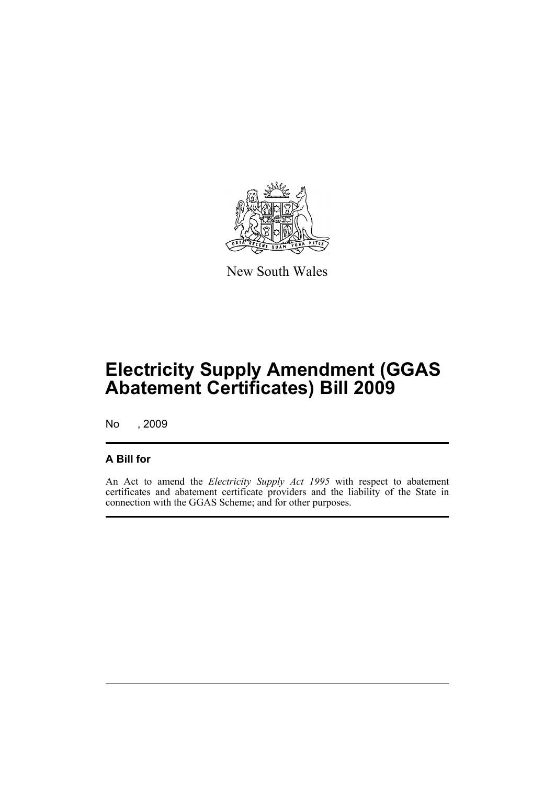

New South Wales

## **Electricity Supply Amendment (GGAS Abatement Certificates) Bill 2009**

No , 2009

#### **A Bill for**

An Act to amend the *Electricity Supply Act 1995* with respect to abatement certificates and abatement certificate providers and the liability of the State in connection with the GGAS Scheme; and for other purposes.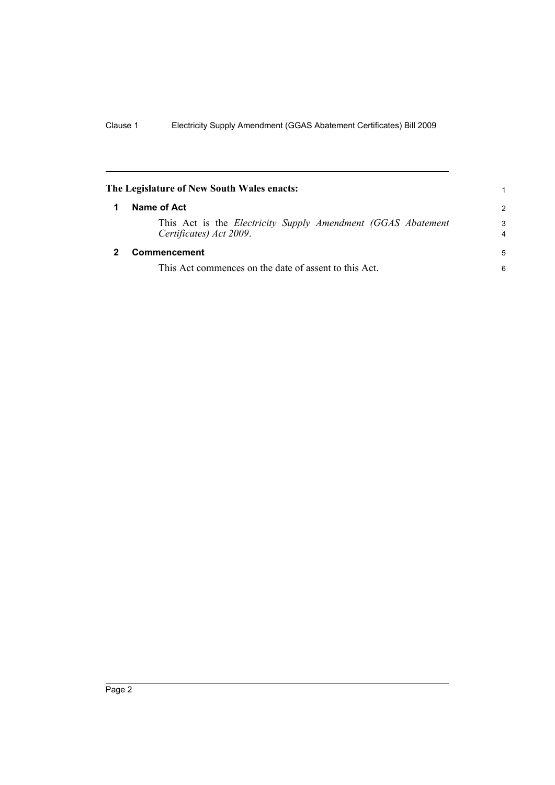<span id="page-5-1"></span><span id="page-5-0"></span>

| The Legislature of New South Wales enacts: |                                                                                         | 1                            |
|--------------------------------------------|-----------------------------------------------------------------------------------------|------------------------------|
|                                            | Name of Act                                                                             | $\mathcal{P}$                |
|                                            | This Act is the Electricity Supply Amendment (GGAS Abatement<br>Certificates) Act 2009. | 3<br>$\overline{\mathbf{4}}$ |
|                                            | Commencement                                                                            | 5                            |
|                                            | This Act commences on the date of assent to this Act.                                   | 6                            |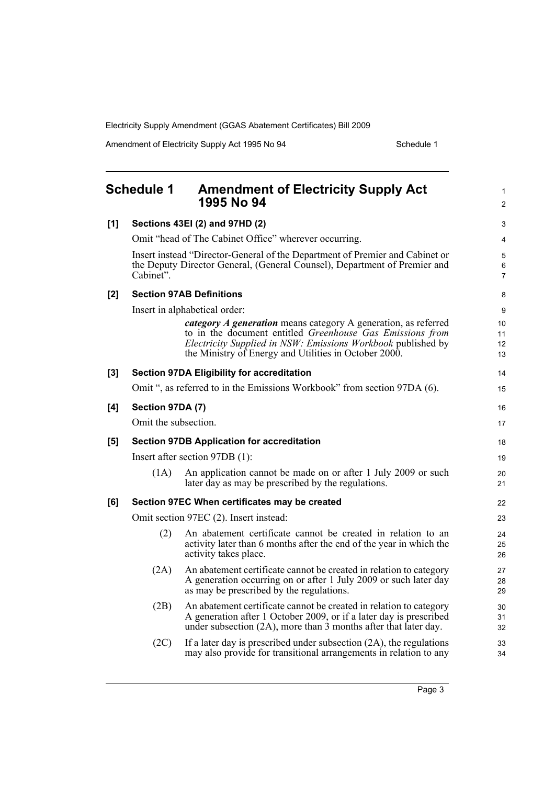Amendment of Electricity Supply Act 1995 No 94 Schedule 1

<span id="page-6-0"></span>

|       | <b>Schedule 1</b>    | <b>Amendment of Electricity Supply Act</b><br>1995 No 94                                                                                                                                                                                                    | 1<br>$\overline{2}$  |
|-------|----------------------|-------------------------------------------------------------------------------------------------------------------------------------------------------------------------------------------------------------------------------------------------------------|----------------------|
| [1]   |                      | Sections 43EI (2) and 97HD (2)                                                                                                                                                                                                                              | 3                    |
|       |                      | Omit "head of The Cabinet Office" wherever occurring.                                                                                                                                                                                                       | 4                    |
|       | Cabinet".            | Insert instead "Director-General of the Department of Premier and Cabinet or<br>the Deputy Director General, (General Counsel), Department of Premier and                                                                                                   | 5<br>6<br>7          |
| [2]   |                      | <b>Section 97AB Definitions</b>                                                                                                                                                                                                                             | 8                    |
|       |                      | Insert in alphabetical order:                                                                                                                                                                                                                               | 9                    |
|       |                      | <i>category A generation</i> means category A generation, as referred<br>to in the document entitled Greenhouse Gas Emissions from<br>Electricity Supplied in NSW: Emissions Workbook published by<br>the Ministry of Energy and Utilities in October 2000. | 10<br>11<br>12<br>13 |
| $[3]$ |                      | <b>Section 97DA Eligibility for accreditation</b>                                                                                                                                                                                                           | 14                   |
|       |                      | Omit ", as referred to in the Emissions Workbook" from section 97DA (6).                                                                                                                                                                                    | 15                   |
| [4]   | Section 97DA (7)     |                                                                                                                                                                                                                                                             | 16                   |
|       | Omit the subsection. |                                                                                                                                                                                                                                                             | 17                   |
| [5]   |                      | <b>Section 97DB Application for accreditation</b>                                                                                                                                                                                                           | 18                   |
|       |                      | Insert after section 97DB (1):                                                                                                                                                                                                                              | 19                   |
|       | (1A)                 | An application cannot be made on or after 1 July 2009 or such<br>later day as may be prescribed by the regulations.                                                                                                                                         | 20<br>21             |
| [6]   |                      | Section 97EC When certificates may be created                                                                                                                                                                                                               | 22                   |
|       |                      | Omit section 97EC (2). Insert instead:                                                                                                                                                                                                                      | 23                   |
|       | (2)                  | An abatement certificate cannot be created in relation to an<br>activity later than 6 months after the end of the year in which the<br>activity takes place.                                                                                                | 24<br>25<br>26       |
|       | (2A)                 | An abatement certificate cannot be created in relation to category<br>A generation occurring on or after 1 July 2009 or such later day<br>as may be prescribed by the regulations.                                                                          | 27<br>28<br>29       |
|       | (2B)                 | An abatement certificate cannot be created in relation to category<br>A generation after 1 October 2009, or if a later day is prescribed<br>under subsection (2A), more than 3 months after that later day.                                                 | 30<br>31<br>32       |
|       | (2C)                 | If a later day is prescribed under subsection $(2A)$ , the regulations<br>may also provide for transitional arrangements in relation to any                                                                                                                 | 33<br>34             |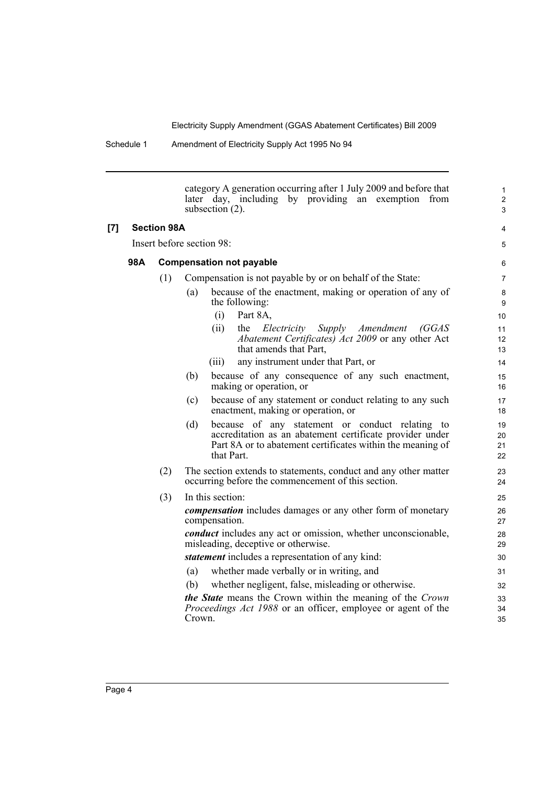|     |     |                    | category A generation occurring after 1 July 2009 and before that<br>later day, including by providing an exemption<br>from<br>subsection $(2)$ .                                              | $\mathbf{1}$<br>$\overline{c}$<br>3 |
|-----|-----|--------------------|------------------------------------------------------------------------------------------------------------------------------------------------------------------------------------------------|-------------------------------------|
| [7] |     | <b>Section 98A</b> |                                                                                                                                                                                                | 4                                   |
|     |     |                    | Insert before section 98:                                                                                                                                                                      | 5                                   |
|     | 98A |                    | <b>Compensation not payable</b>                                                                                                                                                                | 6                                   |
|     |     | (1)                | Compensation is not payable by or on behalf of the State:                                                                                                                                      | $\overline{7}$                      |
|     |     |                    | because of the enactment, making or operation of any of<br>(a)<br>the following:                                                                                                               | 8<br>9                              |
|     |     |                    | (i)<br>Part 8A,                                                                                                                                                                                | 10                                  |
|     |     |                    | the<br>Electricity<br>Supply<br>(ii)<br>Amendment<br>(GGAS<br>Abatement Certificates) Act 2009 or any other Act<br>that amends that Part,                                                      | 11<br>12<br>13                      |
|     |     |                    | any instrument under that Part, or<br>(iii)                                                                                                                                                    | 14                                  |
|     |     |                    | because of any consequence of any such enactment,<br>(b)<br>making or operation, or                                                                                                            | 15<br>16                            |
|     |     |                    | because of any statement or conduct relating to any such<br>(c)<br>enactment, making or operation, or                                                                                          | 17<br>18                            |
|     |     |                    | because of any statement or conduct relating to<br>(d)<br>accreditation as an abatement certificate provider under<br>Part 8A or to abatement certificates within the meaning of<br>that Part. | 19<br>20<br>21<br>22                |
|     |     | (2)                | The section extends to statements, conduct and any other matter<br>occurring before the commencement of this section.                                                                          | 23<br>24                            |
|     |     | (3)                | In this section:                                                                                                                                                                               | 25                                  |
|     |     |                    | <i>compensation</i> includes damages or any other form of monetary<br>compensation.                                                                                                            | 26<br>27                            |
|     |     |                    | <i>conduct</i> includes any act or omission, whether unconscionable,<br>misleading, deceptive or otherwise.                                                                                    | 28<br>29                            |
|     |     |                    | <i>statement</i> includes a representation of any kind:                                                                                                                                        | 30                                  |
|     |     |                    | whether made verbally or in writing, and<br>(a)                                                                                                                                                | 31                                  |
|     |     |                    | whether negligent, false, misleading or otherwise.<br>(b)                                                                                                                                      | 32                                  |
|     |     |                    | the State means the Crown within the meaning of the Crown<br>Proceedings Act 1988 or an officer, employee or agent of the<br>Crown.                                                            | 33<br>34<br>35                      |